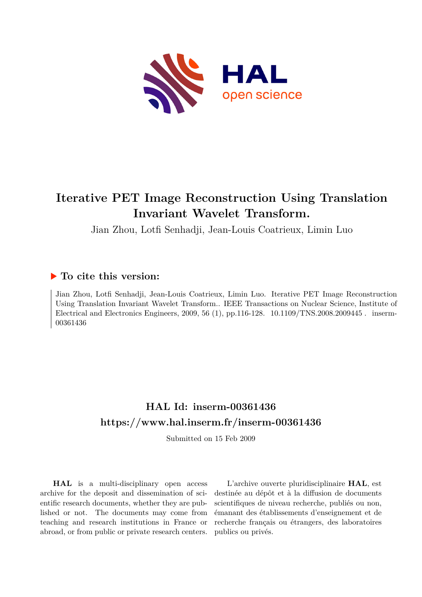

## **Iterative PET Image Reconstruction Using Translation Invariant Wavelet Transform.**

Jian Zhou, Lotfi Senhadji, Jean-Louis Coatrieux, Limin Luo

### **To cite this version:**

Jian Zhou, Lotfi Senhadji, Jean-Louis Coatrieux, Limin Luo. Iterative PET Image Reconstruction Using Translation Invariant Wavelet Transform.. IEEE Transactions on Nuclear Science, Institute of Electrical and Electronics Engineers, 2009, 56 (1), pp.116-128. 10.1109/TNS.2008.2009445. inserm-00361436

## **HAL Id: inserm-00361436 <https://www.hal.inserm.fr/inserm-00361436>**

Submitted on 15 Feb 2009

**HAL** is a multi-disciplinary open access archive for the deposit and dissemination of scientific research documents, whether they are published or not. The documents may come from teaching and research institutions in France or abroad, or from public or private research centers.

L'archive ouverte pluridisciplinaire **HAL**, est destinée au dépôt et à la diffusion de documents scientifiques de niveau recherche, publiés ou non, émanant des établissements d'enseignement et de recherche français ou étrangers, des laboratoires publics ou privés.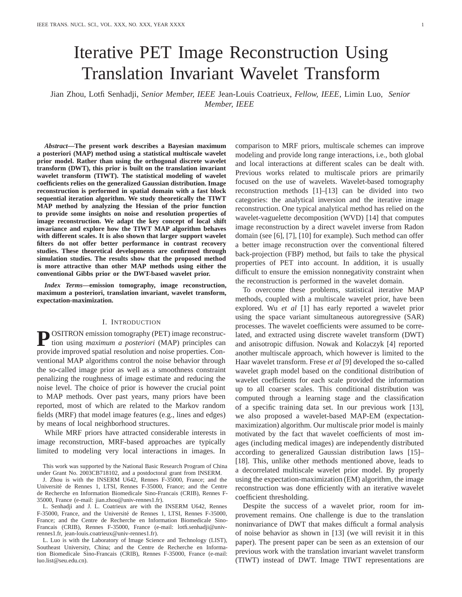# Iterative PET Image Reconstruction Using Translation Invariant Wavelet Transform

Jian Zhou, Lotfi Senhadji, *Senior Member, IEEE* Jean-Louis Coatrieux, *Fellow, IEEE*, Limin Luo, *Senior Member, IEEE*

*Abstract***—The present work describes a Bayesian maximum a posteriori (MAP) method using a statistical multiscale wavelet prior model. Rather than using the orthogonal discrete wavelet transform (DWT), this prior is built on the translation invariant wavelet transform (TIWT). The statistical modeling of wavelet coefficients relies on the generalized Gaussian distribution. Image reconstruction is performed in spatial domain with a fast block sequential iteration algorithm. We study theoretically the TIWT MAP method by analyzing the Hessian of the prior function to provide some insights on noise and resolution properties of image reconstruction. We adapt the key concept of local shift invariance and explore how the TIWT MAP algorithm behaves with different scales. It is also shown that larger support wavelet filters do not offer better performance in contrast recovery studies. These theoretical developments are confirmed through simulation studies. The results show that the proposed method is more attractive than other MAP methods using either the conventional Gibbs prior or the DWT-based wavelet prior.**

*Index Terms***—emission tomography, image reconstruction, maximum a posteriori, translation invariant, wavelet transform, expectation-maximization.**

#### I. INTRODUCTION

**P** OSITRON emission tomography (PET) image reconstruction using *maximum a posteriori* (MAP) principles can provide improved spatial resolution and noise properties. Conventional MAP algorithms control the noise behavior through the so-called image prior as well as a smoothness constraint penalizing the roughness of image estimate and reducing the noise level. The choice of prior is however the crucial point to MAP methods. Over past years, many priors have been reported, most of which are related to the Markov random fields (MRF) that model image features (e.g., lines and edges) by means of local neighborhood structures.

While MRF priors have attracted considerable interests in image reconstruction, MRF-based approaches are typically limited to modeling very local interactions in images. In

J. Zhou is with the INSERM U642, Rennes F-35000, France; and the Université de Rennes 1, LTSI, Rennes F-35000, France; and the Centre de Recherche en Information Biomedicale Sino-Francais (CRIB), Rennes F-35000, France (e-mail: jian.zhou@univ-rennes1.fr).

L. Senhadji and J. L. Coatrieux are with the INSERM U642, Rennes F-35000, France, and the Université de Rennes 1, LTSI, Rennes F-35000, France; and the Centre de Recherche en Information Biomedicale Sino-Francais (CRIB), Rennes F-35000, France (e-mail: lotfi.senhadji@univrennes1.fr, jean-louis.coatrieux@univ-rennes1.fr).

L. Luo is with the Laboratory of Image Science and Technology (LIST), Southeast University, China; and the Centre de Recherche en Information Biomedicale Sino-Francais (CRIB), Rennes F-35000, France (e-mail: luo.list@seu.edu.cn).

comparison to MRF priors, multiscale schemes can improve modeling and provide long range interactions, i.e., both global and local interactions at different scales can be dealt with. Previous works related to multiscale priors are primarily focused on the use of wavelets. Wavelet-based tomography reconstruction methods [1]–[13] can be divided into two categories: the analytical inversion and the iterative image reconstruction. One typical analytical method has relied on the wavelet-vaguelette decomposition (WVD) [14] that computes image reconstruction by a direct wavelet inverse from Radon domain (see [6], [7], [10] for example). Such method can offer a better image reconstruction over the conventional filtered back-projection (FBP) method, but fails to take the physical properties of PET into account. In addition, it is usually difficult to ensure the emission nonnegativity constraint when the reconstruction is performed in the wavelet domain.

To overcome these problems, statistical iterative MAP methods, coupled with a multiscale wavelet prior, have been explored. Wu *et al* [1] has early reported a wavelet prior using the space variant simultaneous autoregressive (SAR) processes. The wavelet coefficients were assumed to be correlated, and extracted using discrete wavelet transform (DWT) and anisotropic diffusion. Nowak and Kolaczyk [4] reported another multiscale approach, which however is limited to the Haar wavelet transform. Frese *et al* [9] developed the so-called wavelet graph model based on the conditional distribution of wavelet coefficients for each scale provided the information up to all coarser scales. This conditional distribution was computed through a learning stage and the classification of a specific training data set. In our previous work [13], we also proposed a wavelet-based MAP-EM (expectationmaximization) algorithm. Our multiscale prior model is mainly motivated by the fact that wavelet coefficients of most images (including medical images) are independently distributed according to generalized Gaussian distribution laws [15]– [18]. This, unlike other methods mentioned above, leads to a decorrelated multiscale wavelet prior model. By properly using the expectation-maximization (EM) algorithm, the image reconstruction was done efficiently with an iterative wavelet coefficient thresholding.

Despite the success of a wavelet prior, room for improvement remains. One challenge is due to the translation noninvariance of DWT that makes difficult a formal analysis of noise behavior as shown in [13] (we will revisit it in this paper). The present paper can be seen as an extension of our previous work with the translation invariant wavelet transform (TIWT) instead of DWT. Image TIWT representations are

This work was supported by the National Basic Research Program of China under Grant No. 2003CB718102, and a postdoctoral grant from INSERM.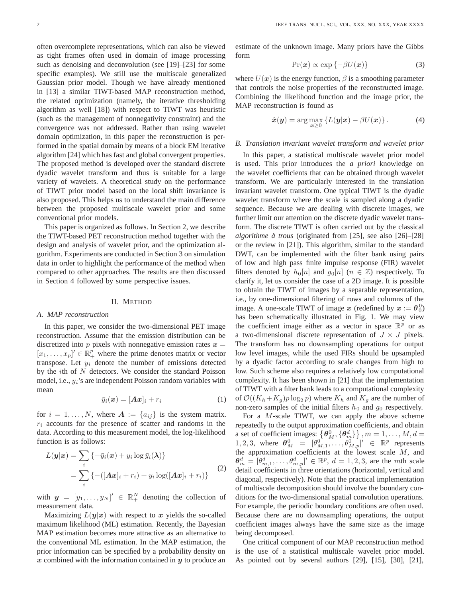often overcomplete representations, which can also be viewed as tight frames often used in domain of image processing such as denoising and deconvolution (see [19]–[23] for some specific examples). We still use the multiscale generalized Gaussian prior model. Though we have already mentioned in [13] a similar TIWT-based MAP reconstruction method, the related optimization (namely, the iterative thresholding algorithm as well [18]) with respect to TIWT was heuristic (such as the management of nonnegativity constraint) and the convergence was not addressed. Rather than using wavelet domain optimization, in this paper the reconstruction is performed in the spatial domain by means of a block EM iterative algorithm [24] which has fast and global convergent properties. The proposed method is developed over the standard discrete dyadic wavelet transform and thus is suitable for a large variety of wavelets. A theoretical study on the performance of TIWT prior model based on the local shift invariance is also proposed. This helps us to understand the main difference between the proposed multiscale wavelet prior and some

This paper is organized as follows. In Section 2, we describe the TIWT-based PET reconstruction method together with the design and analysis of wavelet prior, and the optimization algorithm. Experiments are conducted in Section 3 on simulation data in order to highlight the performance of the method when compared to other approaches. The results are then discussed in Section 4 followed by some perspective issues.

#### II. METHOD

#### *A. MAP reconstruction*

conventional prior models.

In this paper, we consider the two-dimensional PET image reconstruction. Assume that the emission distribution can be discretized into p pixels with nonnegative emission rates  $x =$  $[x_1, \ldots, x_p] \in \mathbb{R}^p$  where the prime denotes matrix or vector<br>transpose. Let  $y_+$  denote the number of emissions detected transpose. Let  $y_i$  denote the number of emissions detected by the  $i$ th of  $N$  detectors. We consider the standard Poisson model, i.e.,  $y_i$ 's are independent Poisson random variables with mean

$$
\bar{y}_i(\boldsymbol{x}) = [\boldsymbol{A}\boldsymbol{x}]_i + r_i \tag{1}
$$

for  $i = 1, \ldots, N$ , where  $A := \{a_{ij}\}\$ is the system matrix.  $r_i$  accounts for the presence of scatter and randoms in the data. According to this measurement model, the log-likelihood function is as follows:

$$
L(\boldsymbol{y}|\boldsymbol{x}) = \sum_{i} \{-\bar{y}_i(\boldsymbol{x}) + y_i \log \bar{y}_i(\boldsymbol{\lambda})\}
$$
  
= 
$$
\sum_{i} \{-([A\boldsymbol{x}]_i + r_i) + y_i \log([A\boldsymbol{x}]_i + r_i)\}
$$
 (2)

with  $y = [y_1, \dots, y_N]' \in \mathbb{R}_+^N$  denoting the collection of measurement data.

Maximizing  $L(y|x)$  with respect to x yields the so-called maximum likelihood (ML) estimation. Recently, the Bayesian MAP estimation becomes more attractive as an alternative to the conventional ML estimation. In the MAP estimation, the prior information can be specified by a probability density on *x* combined with the information contained in *y* to produce an

estimate of the unknown image. Many priors have the Gibbs form

$$
Pr(\boldsymbol{x}) \propto \exp\{-\beta U(\boldsymbol{x})\}\tag{3}
$$

where  $U(x)$  is the energy function,  $\beta$  is a smoothing parameter that controls the noise properties of the reconstructed image. Combining the likelihood function and the image prior, the MAP reconstruction is found as

$$
\hat{x}(\boldsymbol{y}) = \arg \max_{\boldsymbol{x} \geq 0} \left\{ L(\boldsymbol{y}|\boldsymbol{x}) - \beta U(\boldsymbol{x}) \right\}.
$$
 (4)

#### *B. Translation invariant wavelet transform and wavelet prior*

In this paper, a statistical multiscale wavelet prior model is used. This prior introduces the *a priori* knowledge on the wavelet coefficients that can be obtained through wavelet transform. We are particularly interested in the translation invariant wavelet transform. One typical TIWT is the dyadic wavelet transform where the scale is sampled along a dyadic sequence. Because we are dealing with discrete images, we further limit our attention on the discrete dyadic wavelet transform. The discrete TIWT is often carried out by the classical *algorithme a trous `* (originated from [25], see also [26]–[28] or the review in [21]). This algorithm, similar to the standard DWT, can be implemented with the filter bank using pairs of low and high pass finite impulse response (FIR) wavelet filters denoted by  $h_0[n]$  and  $g_0[n]$  ( $n \in \mathbb{Z}$ ) respectively. To clarify it, let us consider the case of a 2D image. It is possible to obtain the TIWT of images by a separable representation, i.e., by one-dimensional filtering of rows and columns of the image. A one-scale TIWT of image *x* (redefined by  $x := \theta_0^0$ )<br>has been schematically illustrated in Fig. 1. We may view has been schematically illustrated in Fig. 1. We may view the coefficient image either as a vector in space  $\mathbb{R}^p$  or as a two-dimensional discrete representation of  $J \times J$  pixels. The transform has no downsampling operations for output low level images, while the used FIRs should be upsampled by a dyadic factor according to scale changes from high to low. Such scheme also requires a relatively low computational complexity. It has been shown in [21] that the implementation of TIWT with a filter bank leads to a computational complexity of  $\mathcal{O}((K_h+K_q)p \log_2 p)$  where  $K_h$  and  $K_q$  are the number of non-zero samples of the initial filters  $h_0$  and  $g_0$  respectively.

For a M-scale TIWT, we can apply the above scheme repeatedly to the output approximation coefficients, and obtain a set of coefficient images:  $\left\{\boldsymbol{\theta}_M^0, \{\boldsymbol{\theta}_m^d\}\right\}, m = 1, \ldots, M, d =$ 1, 2, 3, where  $\theta_M^0 = [\theta_{M,1}^0, \dots, \theta_{M,p}^0]' \in \mathbb{R}^p$  represents<br>the approximation coefficients at the lowest scale M and the approximation coefficients at the lowest scale  $M$ , and  $\theta_m^d = [\theta_{m,1}^d, \dots, \theta_{m,p}^d]^{\prime} \in \mathbb{R}^p$ ,  $d = 1, 2, 3$ , are the *mth* scale detail coefficients in three orientations (horizontal, vertical and diagonal, respectively). Note that the practical implementation of multiscale decomposition should involve the boundary conditions for the two-dimensional spatial convolution operations. For example, the periodic boundary conditions are often used. Because there are no downsampling operations, the output coefficient images always have the same size as the image being decomposed.

One critical component of our MAP reconstruction method is the use of a statistical multiscale wavelet prior model. As pointed out by several authors [29], [15], [30], [21],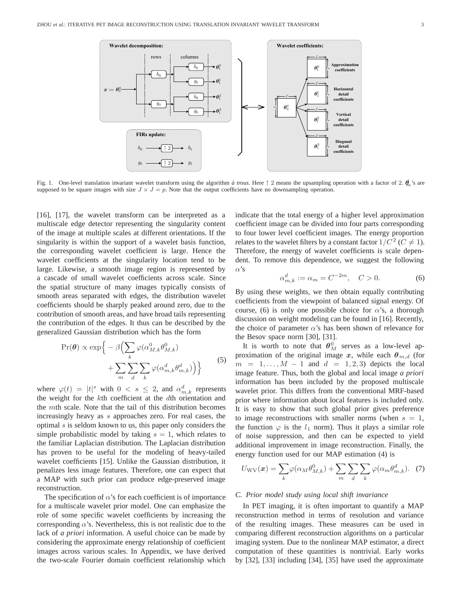

Fig. 1. One-level translation invariant wavelet transform using the algorithm  $\alpha$  trous. Here  $\uparrow$  2 means the upsampling operation with a factor of 2.  $\theta_n$ 's are supposed to be square images with size  $J \times J = p$ . Note that the output coefficients have no downsampling operation.

[16], [17], the wavelet transform can be interpreted as a multiscale edge detector representing the singularity content of the image at multiple scales at different orientations. If the singularity is within the support of a wavelet basis function, the corresponding wavelet coefficient is large. Hence the wavelet coefficients at the singularity location tend to be large. Likewise, a smooth image region is represented by a cascade of small wavelet coefficients across scale. Since the spatial structure of many images typically consists of smooth areas separated with edges, the distribution wavelet coefficients should be sharply peaked around zero, due to the contribution of smooth areas, and have broad tails representing the contribution of the edges. It thus can be described by the generalized Gaussian distribution which has the form

$$
\Pr(\boldsymbol{\theta}) \propto \exp\Big\{-\beta \Big(\sum_{k} \varphi(\alpha_{M,k}^{0} \theta_{M,k}^{0}) + \sum_{m} \sum_{d} \sum_{k} \varphi(\alpha_{m,k}^{d} \theta_{m,k}^{d})\Big)\Big\}
$$
(5)

where  $\varphi(t) = |t|^s$  with  $0 < s \leq 2$ , and  $\alpha_{m,k}^d$  represents the weight for the kth coefficient at the dth orientation and the mth scale. Note that the tail of this distribution becomes increasingly heavy as s approaches zero. For real cases, the optimal s is seldom known to us, this paper only considers the simple probabilistic model by taking  $s = 1$ , which relates to the familiar Laplacian distribution. The Laplacian distribution has proven to be useful for the modeling of heavy-tailed wavelet coefficients [15]. Unlike the Gaussian distribution, it penalizes less image features. Therefore, one can expect that a MAP with such prior can produce edge-preserved image reconstruction.

The specification of  $\alpha$ 's for each coefficient is of importance for a multiscale wavelet prior model. One can emphasize the role of some specific wavelet coefficients by increasing the corresponding  $\alpha$ 's. Nevertheless, this is not realistic due to the lack of *a priori* information. A useful choice can be made by considering the approximate energy relationship of coefficient images across various scales. In Appendix, we have derived the two-scale Fourier domain coefficient relationship which indicate that the total energy of a higher level approximation coefficient image can be divided into four parts corresponding to four lower level coefficient images. The energy proportion relates to the wavelet filters by a constant factor  $1/C^2$  ( $C \neq 1$ ). Therefore, the energy of wavelet coefficients is scale dependent. To remove this dependence, we suggest the following α's

$$
\alpha_{m,k}^d := \alpha_m = C^{-2m}, \quad C > 0.
$$
 (6)

By using these weights, we then obtain equally contributing coefficients from the viewpoint of balanced signal energy. Of course, (6) is only one possible choice for  $\alpha$ 's, a thorough discussion on weight modeling can be found in [16]. Recently, the choice of parameter  $\alpha$ 's has been shown of relevance for the Besov space norm [30], [31].

It is worth to note that  $\theta_M^0$  serves as a low-level approximation of the original image  $x$ , while each  $\theta_{m,d}$  (for  $m = 1, \ldots, M - 1$  and  $d = 1, 2, 3$  depicts the local image feature. Thus, both the global and local image *a priori* information has been included by the proposed multiscale wavelet prior. This differs from the conventional MRF-based prior where information about local features is included only. It is easy to show that such global prior gives preference to image reconstructions with smaller norms (when  $s = 1$ , the function  $\varphi$  is the  $l_1$  norm). Thus it plays a similar role of noise suppression, and then can be expected to yield additional improvement in image reconstruction. Finally, the energy function used for our MAP estimation (4) is

$$
U_{\text{WV}}(\boldsymbol{x}) = \sum_{k} \varphi(\alpha_M \theta_{M,k}^0) + \sum_{m} \sum_{d} \sum_{k} \varphi(\alpha_m \theta_{m,k}^d). \quad (7)
$$

#### *C. Prior model study using local shift invariance*

In PET imaging, it is often important to quantify a MAP reconstruction method in terms of resolution and variance of the resulting images. These measures can be used in comparing different reconstruction algorithms on a particular imaging system. Due to the nonlinear MAP estimator, a direct computation of these quantities is nontrivial. Early works by [32], [33] including [34], [35] have used the approximate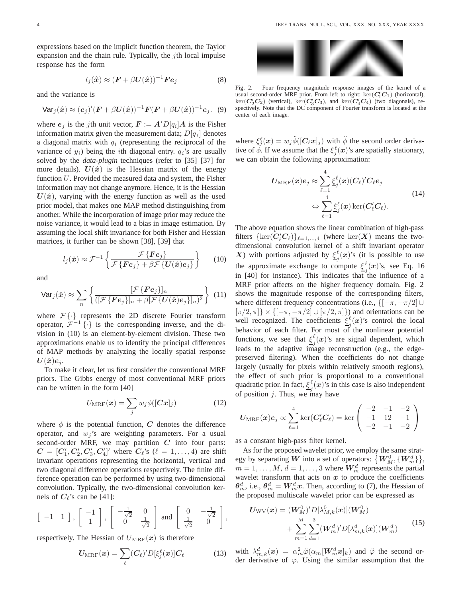expressions based on the implicit function theorem, the Taylor expansion and the chain rule. Typically, the  $j$ th local impulse response has the form

$$
l_j(\hat{\boldsymbol{x}}) \approx (\boldsymbol{F} + \beta \boldsymbol{U}(\hat{\boldsymbol{x}}))^{-1} \boldsymbol{F} \boldsymbol{e}_j \tag{8}
$$

and the variance is

$$
\text{Var}_j(\hat{\boldsymbol{x}}) \approx (\boldsymbol{e}_j)' (\boldsymbol{F} + \beta \boldsymbol{U}(\hat{\boldsymbol{x}}))^{-1} \boldsymbol{F} (\boldsymbol{F} + \beta \boldsymbol{U}(\hat{\boldsymbol{x}}))^{-1} \boldsymbol{e}_j.
$$
 (9)

where  $e_j$  is the *j*th unit vector,  $F := A'D[q_i]A$  is the Fisher information matrix given the measurement data;  $D[q_i]$  denotes a diagonal matrix with  $q_i$  (representing the reciprocal of the variance of  $y_i$ ) being the *i*th diagonal entry.  $q_i$ 's are usually solved by the *data-plugin* techniques (refer to [35]–[37] for more details).  $U(\hat{x})$  is the Hessian matrix of the energy function  $U$ . Provided the measured data and system, the Fisher information may not change anymore. Hence, it is the Hessian  $U(\hat{x})$ , varying with the energy function as well as the used prior model, that makes one MAP method distinguishing from another. While the incorporation of image prior may reduce the noise variance, it would lead to a bias in image estimation. By assuming the local shift invariance for both Fisher and Hessian matrices, it further can be shown [38], [39] that

$$
l_j(\hat{\boldsymbol{x}}) \approx \mathcal{F}^{-1} \left\{ \frac{\mathcal{F} \{ \boldsymbol{F} \boldsymbol{e}_j \}}{\mathcal{F} \{ \boldsymbol{F} \boldsymbol{e}_j \} + \beta \mathcal{F} \{ \boldsymbol{U}(\hat{\boldsymbol{x}}) \boldsymbol{e}_j \}} \right\}
$$
(10)

and

$$
\text{Var}_j(\hat{\boldsymbol{x}}) \approx \sum_n \left\{ \frac{[\mathcal{F}\left\{ \boldsymbol{F} \boldsymbol{e}_j \right\}]_n}{([\mathcal{F}\left\{ \boldsymbol{F} \boldsymbol{e}_j \right\}]_n + \beta [\mathcal{F}\left\{ \boldsymbol{U}(\hat{\boldsymbol{x}}) \boldsymbol{e}_j \right\}]_n)^2} \right\} (11)
$$

where  $\mathcal{F}\{\cdot\}$  represents the 2D discrete Fourier transform operator,  $\mathcal{F}^{-1}\{\cdot\}$  is the corresponding inverse, and the division in (10) is an element-by-element division. These two approximations enable us to identify the principal differences of MAP methods by analyzing the locally spatial response  $U(\hat{x})e_i$ .

To make it clear, let us first consider the conventional MRF priors. The Gibbs energy of most conventional MRF priors can be written in the form [40]

$$
U_{\text{MRF}}(\boldsymbol{x}) = \sum_{j} w_j \phi([C\boldsymbol{x}]_j)
$$
 (12)

where  $\phi$  is the potential function, *C* denotes the difference operator, and  $w_i$ 's are weighting parameters. For a usual second-order MRF, we may partition *C* into four parts:  $C = [C_1', C_2', C_3', C_4']'$  where  $C_{\ell}$ 's ( $\ell = 1, ..., 4$ ) are shift<br>invariant operations representing the horizontal vertical and invariant operations representing the horizontal, vertical and two diagonal difference operations respectively. The finite difference operation can be performed by using two-dimensional convolution. Typically, the two-dimensional convolution kernels of  $C_{\ell}$ 's can be [41]:

$$
\begin{bmatrix} -1 & 1 \end{bmatrix}
$$
,  $\begin{bmatrix} -1 \\ 1 \end{bmatrix}$ ,  $\begin{bmatrix} -\frac{1}{\sqrt{2}} & 0 \\ 0 & \frac{1}{\sqrt{2}} \end{bmatrix}$  and  $\begin{bmatrix} 0 & -\frac{1}{\sqrt{2}} \\ \frac{1}{\sqrt{2}} & 0 \end{bmatrix}$ ,

respectively. The Hessian of  $U_{\text{MRF}}(x)$  is therefore

$$
U_{\text{MRF}}(\boldsymbol{x}) = \sum_{\ell} (C_{\ell})' D[\xi_j^{\ell}(\boldsymbol{x})] C_{\ell} \tag{13}
$$



Fig. 2. Four frequency magnitude response images of the kernel of a usual second-order MRF prior. From left to right:  $\ker(C_1^t C_1)$  (horizontal),  $\ker(C_2^t C_2)$  (vertical),  $\ker(C_2^t C_3)$ , and  $\ker(C_2^t C_4)$  (two diagonals), re- $\ker(C_2'C_2)$  (vertical),  $\ker(C_3'C_3)$ , and  $\ker(C_4'C_4)$  (two diagonals), re-<br>spectively Note that the DC component of Fourier transform is located at the spectively. Note that the DC component of Fourier transform is located at the center of each image.

where  $\xi_j^{\ell}(\bm{x}) = w_j \ddot{\phi}([C_{\ell}\bm{x}]_j)$  with  $\ddot{\phi}$  the second order derivative of  $\phi$ . If we assume that the  $\xi_j^{\ell}(\boldsymbol{x})$ 's are spatially stationary, we can obtain the following approximation:

$$
U_{\text{MRF}}(\boldsymbol{x})e_j \approx \sum_{\ell=1}^4 \underline{\xi}_j^{\ell}(\boldsymbol{x}) (C_{\ell})' C_{\ell} e_j
$$
  

$$
\Leftrightarrow \sum_{\ell=1}^4 \underline{\xi}_j^{\ell}(\boldsymbol{x}) \ker(C_{\ell}' C_{\ell}).
$$
 (14)

The above equation shows the linear combination of high-pass filters  $\{\ker(C_{\ell}'C_{\ell})\}_{\ell=1,\dots,4}$  (where  $\ker(X)$  means the two-<br>dimensional convolution logar of a shift invariant conntant dimensional convolution kernel of a shift invariant operator *X*) with portions adjusted by  $\xi_j^{\ell}(x)$ 's (it is possible to use the approximate exchange to compute  $\xi_j^{\ell}(\boldsymbol{x})$ 's, see Eq. 16 in [40] for instance). This indicates that the influence of a MRF prior affects on the higher frequency domain. Fig. 2 shows the magnitude response of the corresponding filters, where different frequency concentrations (i.e.,  $\{[-\pi, -\pi/2] \cup$  $[\pi/2, \pi]$  × { $[-\pi, -\pi/2] \cup [\pi/2, \pi]$ }) and orientations can be well recognized. The coefficients  $\underline{\xi_j^{\ell}}(x)$ 's control the local behavior of each filter. For most of the nonlinear potential functions, we see that  $\underline{\xi}_j^{\ell}(x)$ 's are signal dependent, which leads to the adaptive image reconstruction (e.g., the edgepreserved filtering). When the coefficients do not change largely (usually for pixels within relatively smooth regions), the effect of such prior is proportional to a conventional quadratic prior. In fact,  $\underline{\xi}_j^{\ell}(\boldsymbol{x})$ 's in this case is also independent of position  $j$ . Thus, we may have

$$
U_{\text{MRF}}(\boldsymbol{x})e_j \propto \sum_{\ell=1}^4 \ker(C_{\ell}'C_{\ell}) = \ker\begin{pmatrix} -2 & -1 & -2 \\ -1 & 12 & -1 \\ -2 & -1 & -2 \end{pmatrix}
$$

as a constant high-pass filter kernel.

As for the proposed wavelet prior, we employ the same strategy by separating  $\boldsymbol{W}$  into a set of operators:  $\big\{\boldsymbol{W}_{M}^{0}, \{\boldsymbol{W}_{m}^{d}\}\big\},$  $m = 1, \ldots, M, d = 1, \ldots, 3$  where  $\mathbf{W}_m^d$  represents the partial wavelet transform that acts on  $x$  to produce the coefficients  $\theta_m^d$ , i.e.,  $\theta_m^d = W_m^d x$ . Then, according to (7), the Hessian of the proposed multiscale wavelet prior can be expressed as

$$
U_{\text{WV}}(\boldsymbol{x}) = (W_M^0)' D[\lambda_{M,k}^0(\boldsymbol{x})](W_M^0) + \sum_{m=1}^M \sum_{d=1}^3 (W_m^d)' D[\lambda_{m,k}^d(\boldsymbol{x})](W_m^d)
$$
(15)

with  $\lambda_{m,k}^d(\bm{x})\ =\ \alpha_m^2\ddot{\varphi}(\alpha_m[\bm{W}_m^d\bm{x}]_k)\,$  and  $\ddot{\varphi}$  the second order derivative of  $\varphi$ . Using the similar assumption that the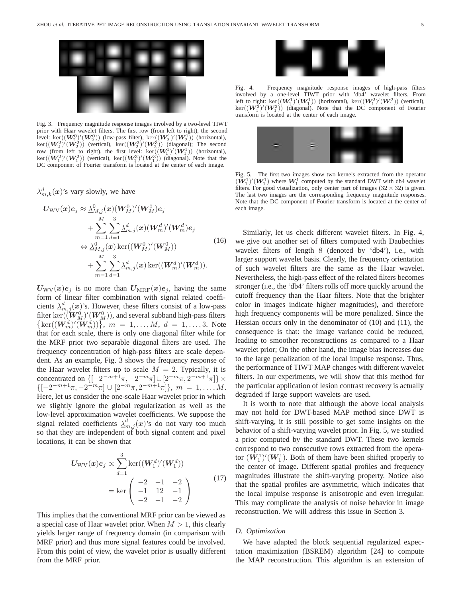

Fig. 3. Frequency magnitude response images involved by a two-level TIWT prior with Haar wavelet filters. The first row (from left to right), the second  $\text{level: } \ker((\mathbf{W}_2^0)'(\mathbf{W}_2^0))$  (low-pass filter),  $\ker((\mathbf{W}_2^1)'(\mathbf{W}_2^1))$  (horizontal),<br>ker( $(\mathbf{W}_2^2)'(\mathbf{W}_2^2)$ ) (vertical), ker( $(\mathbf{W}_2^3)'(\mathbf{W}_2^3)$ ) (diagonal); The second  $\ker((\mathbf{W}_2^2)'(\mathbf{W}_2^2))$  (vertical),  $\ker((\mathbf{W}_2^3)'(\mathbf{W}_2^3))$  (diagonal); The second row (from left to right) the first level:  $\ker((\mathbf{W}_1^1)'(\mathbf{W}_1^1))$  (horizontal) row (from left to right), the first level:  $\text{ker}((\mathbf{W}_1^1)'(\mathbf{W}_1^1))$ row (from left to right), the first level:  $\text{ker}((W_1^1)'(W_1^1))$  (horizontal),  $\text{ker}((W_1^2)'(W_1^2))$  (vertical),  $\text{ker}((W_1^3)'(W_1^3))$  (diagonal). Note that the DC component of Fourier transform is located at the center o DC component of Fourier transform is located at the center of each image.

 $\lambda_{m,k}^d(x)$ 's vary slowly, we have

$$
U_{\text{WV}}(\boldsymbol{x})e_j \approx \sum_{M,j}^{N} (\boldsymbol{x}) (\boldsymbol{W}_M^0)' (\boldsymbol{W}_M^0) e_j + \sum_{m=1}^{M} \sum_{d=1}^{3} \sum_{d=1}^{d} \langle \boldsymbol{x} \rangle (\boldsymbol{W}_m^d)' (\boldsymbol{W}_m^d) e_j \n\Leftrightarrow \sum_{M,j}^{0} (\boldsymbol{x}) \ker((\boldsymbol{W}_M^0)' (\boldsymbol{W}_M^0)) + \sum_{m=1}^{M} \sum_{d=1}^{3} \sum_{d=1}^{d} \langle \boldsymbol{x} \rangle \ker((\boldsymbol{W}_m^d)' (\boldsymbol{W}_m^d)).
$$
\n(16)

 $U_{\text{WV}}(x)e_j$  is no more than  $U_{\text{MRF}}(x)e_j$ , having the same form of linear filter combination with signal related coefficients  $\Delta_{m,j}^d(x)$ 's. However, these filters consist of a low-pass filter ker $((\boldsymbol{W}^0_M)'(\boldsymbol{W}^0_M))$ , and several subband high-pass filters  $\{ \text{ker}((\mathbf{W}_m^d)'(\mathbf{W}_m^d)) \}, m = 1, \ldots, M, d = 1, \ldots, 3$ . Note that for each scale, there is only one diagonal filter while for the MRF prior two separable diagonal filters are used. The frequency concentration of high-pass filters are scale dependent. As an example, Fig. 3 shows the frequency response of the Haar wavelet filters up to scale  $M = 2$ . Typically, it is concentrated on  $\{[-2^{-m+1}\pi, -2^{-m}\pi] \cup [2^{-m}\pi, 2^{-m+1}\pi]\}\times$  $\{[-2^{-m+1}\pi, -2^{-m}\pi] \cup [2^{-m}\pi, 2^{-m+1}\pi]\}, m = 1, \ldots, M.$ Here, let us consider the one-scale Haar wavelet prior in which we slightly ignore the global regularization as well as the low-level approximation wavelet coefficients. We suppose the signal related coefficients  $\lambda_{m,j}^d(x)$ 's do not vary too much so that they are independent of both signal content and pixel locations, it can be shown that

$$
U_{\text{WV}}(x)e_j \propto \sum_{d=1}^{3} \ker((W_1^d)'(W_1^d))
$$
  
= ker  $\begin{pmatrix} -2 & -1 & -2 \\ -1 & 12 & -1 \\ -2 & -1 & -2 \end{pmatrix}$  (17)

This implies that the conventional MRF prior can be viewed as a special case of Haar wavelet prior. When  $M > 1$ , this clearly yields larger range of frequency domain (in comparison with MRF prior) and thus more signal features could be involved. From this point of view, the wavelet prior is usually different from the MRF prior.



Fig. 4. Frequency magnitude response images of high-pass filters involved by a one-level TIWT prior with 'db4' wavelet filters. From left to right: ker $((W_1^1)'(W_1^1))$  (horizontal), ker $((W_1^2)'(W_1^2))$  (vertical), ker $((W_2^3)'(W_2^3))$  (diagonal). Note that the DC component of Fourier  $\ker((\boldsymbol{W}^3_1)'(\boldsymbol{W}^3_1))$  (diagonal). Note that the DC component of Fourier<br>transform is located at the center of each image transform is located at the center of each image.



Fig. 5. The first two images show two kernels extracted from the operator  $(W_1^1)'(W_1^1)$  where  $W_1^1$  computed by the standard DWT with db4 wavelet filters. For good visualization, only center part of images  $(32 \times 32)$  is given filters. For good visualization, only center part of images  $(32 \times 32)$  is given. The last two images are the corresponding frequency magnitude responses. Note that the DC component of Fourier transform is located at the center of each image.

Similarly, let us check different wavelet filters. In Fig. 4, we give out another set of filters computed with Daubechies wavelet filters of length 8 (denoted by 'db4'), i.e., with larger support wavelet basis. Clearly, the frequency orientation of such wavelet filters are the same as the Haar wavelet. Nevertheless, the high-pass effect of the related filters becomes stronger (i.e., the 'db4' filters rolls off more quickly around the cutoff frequency than the Haar filters. Note that the brighter color in images indicate higher magnitudes), and therefore high frequency components will be more penalized. Since the Hessian occurs only in the denominator of (10) and (11), the consequence is that: the image variance could be reduced, leading to smoother reconstructions as compared to a Haar wavelet prior; On the other hand, the image bias increases due to the large penalization of the local impulse response. Thus, the performance of TIWT MAP changes with different wavelet filters. In our experiments, we will show that this method for the particular application of lesion contrast recovery is actually degraded if large support wavelets are used.

It is worth to note that although the above local analysis may not hold for DWT-based MAP method since DWT is shift-varying, it is still possible to get some insights on the behavior of a shift-varying wavelet prior. In Fig. 5, we studied a prior computed by the standard DWT. These two kernels correspond to two consecutive rows extracted from the operator  $(W_1^1)'(W_1^1)$ . Both of them have been shifted properly to the center of image. Different spatial profiles and frequency the center of image. Different spatial profiles and frequency magnitudes illustrate the shift-varying property. Notice also that the spatial profiles are asymmetric, which indicates that the local impulse response is anisotropic and even irregular. This may complicate the analysis of noise behavior in image reconstruction. We will address this issue in Section 3.

#### *D. Optimization*

We have adapted the block sequential regularized expectation maximization (BSREM) algorithm [24] to compute the MAP reconstruction. This algorithm is an extension of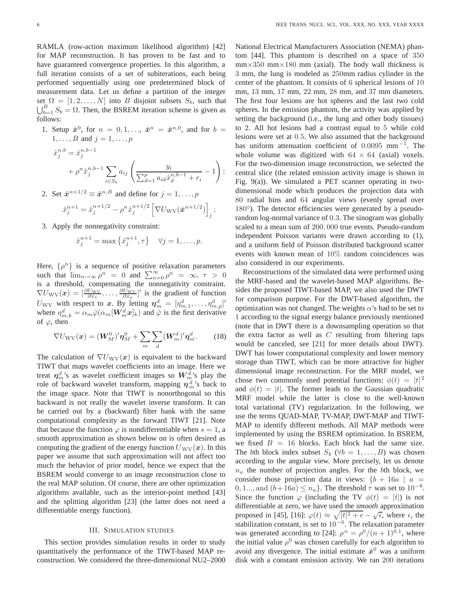RAMLA (row-action maximum likelihood algorithm) [42] for MAP reconstruction. It has proven to be fast and to have guaranteed convergence properties. In this algorithm, a full iteration consists of a set of subiterations, each being performed sequentially using one predetermined block of measurement data. Let us define a partition of the integer set  $\Omega = [1, 2, \ldots, N]$  into B disjoint subsets  $S_b$ , such that  $\bigcup_{b=1}^{B} S_b = \Omega$ . Then, the BSREM iteration scheme is given as follows: follows:

1. Setup  $\hat{x}^0$ , for  $n = 0, 1, \ldots$ ,  $\hat{x}^n = \hat{x}^{n,0}$ , and for  $b =$  $1, \ldots, B$  and  $j = 1, \ldots, p$  $\hat{x}_j^{n,b} = \hat{x}_j^{n,b-1}$  $+ \rho^n \hat{x}_j^{n,b-1} \sum$ i∈S*<sup>b</sup>*  $a_{ij} \left( \frac{y_i}{\sum_{i=1}^n y_i} \right)$  $\sum_{d=1}^{p} a_{id} \hat{x}_{d}^{n,b-1} + r_{i}$ − 1  $\setminus$ ;

2. Set  $\hat{x}^{n+1/2} \equiv \hat{x}^{n,B}$  and define for  $j = 1, \ldots, p$ 

$$
\hat{x}_j^{n+1} = \hat{x}_j^{n+1/2} - \rho^n \hat{x}_j^{n+1/2} \left[ \nabla U_{\text{WV}} (\hat{\boldsymbol{x}}^{n+1/2}) \right]_j;
$$

3. Apply the nonnegativity constraint:

$$
\hat{x}_j^{n+1} = \max\left\{\hat{x}_j^{n+1}, \tau\right\} \quad \forall j = 1, \dots, p.
$$

Here,  $\{\rho^n\}$  is a sequence of positive relaxation parameters such that  $\lim_{n\to\infty}\rho^n = 0$  and  $\sum_{n=0}^{\infty}\rho^n = \infty$ .  $\tau > 0$ is a threshold, compensating the nonnegativity constraint.  $\nabla U_{\text{WV}}(\boldsymbol{x}) = \left[\frac{\partial U_{\text{WV}}}{\partial x_1}, \dots, \frac{\partial U_{\text{WV}}}{\partial x_p}\right]'$  is the gradient of function  $U_{\text{WV}}$  with respect to *x*. By letting  $\boldsymbol{\eta}_m^d = [\eta_{m,1}^d, \dots, \eta_{m,p}^d]'$ <br>where  $\eta_{m,k}^d = \alpha_m \dot{\varphi}(\alpha_m [\boldsymbol{W}_m^d \boldsymbol{x}]_k)$  and  $\dot{\varphi}$  is the first derivative of  $\varphi$ , then

$$
\nabla U_{\text{WV}}(\boldsymbol{x}) = (\boldsymbol{W}_M^0)' \boldsymbol{\eta}_M^0 + \sum_m \sum_d (\boldsymbol{W}_m^d)' \boldsymbol{\eta}_m^d. \qquad (18)
$$

The calculation of  $\nabla U_{\text{WV}}(x)$  is equivalent to the backward TIWT that maps wavelet coefficients into an image. Here we treat  $\eta_m^d$ 's as wavelet coefficient images so  $W_m^d$ 's play the role of backward wavelet transform, mapping  $\boldsymbol{\eta}_{m}^{d}$ 's back to the image space. Note that TIWT is nonorthogonal so this backward is not really the wavelet inverse transform. It can be carried out by a (backward) filter bank with the same computational complexity as the forward TIWT [21]. Note that because the function  $\varphi$  is nondifferentiable when  $s = 1$ , a smooth approximation as shown below on is often desired as computing the gradient of the energy function  $U_{\text{WV}}(x)$ . In this paper we assume that such approximation will not affect too much the behavior of prior model, hence we expect that the BSREM would converge to an image reconstruction close to the real MAP solution. Of course, there are other optimization algorithms available, such as the interior-point method [43] and the splitting algorithm [23] (the latter does not need a differentiable energy function).

#### III. SIMULATION STUDIES

This section provides simulation results in order to study quantitatively the performance of the TIWT-based MAP reconstruction. We considered the three-dimensional NU2–2000 National Electrical Manufacturers Association (NEMA) phantom [44]. This phantom is described on a space of 350  $mm \times 350$  mm $\times 180$  mm (axial). The body wall thickness is 3 mm, the lung is modeled as 250mm radius cylinder in the center of the phantom. It consists of 6 spherical lesions of 10 mm, 13 mm, 17 mm, 22 mm, 28 mm, and 37 mm diameters. The first four lesions are hot spheres and the last two cold spheres. In the emission phantom, the activity was applied by setting the background (i.e., the lung and other body tissues) to 2. All hot lesions had a contrast equal to 5 while cold lesions were set at 0.5. We also assumed that the background has uniform attenuation coefficient of 0.0095 mm−1. The whole volume was digitized with  $64 \times 64$  (axial) voxels. For the two-dimension image reconstruction, we selected the central slice (the related emission activity image is shown in Fig. 9(a)). We simulated a PET scanner operating in twodimensional mode which produces the projection data with 80 radial bins and 64 angular views (evenly spread over 180<sup>°</sup>). The detector efficiencies were generated by a pseudorandom log-normal variance of 0.3. The sinogram was globally scaled to a mean sum of 200, 000 true events. Pseudo-random independent Poisson variants were drawn according to (1), and a uniform field of Poisson distributed background scatter events with known mean of 10% random coincidences was also considered in our experiments.

Reconstructions of the simulated data were performed using the MRF-based and the wavelet-based MAP algorithms. Besides the proposed TIWT-based MAP, we also used the DWT for comparison purpose. For the DWT-based algorithm, the optimization was not changed. The weights  $\alpha$ 's had to be set to 1 according to the signal energy balance previously mentioned (note that in DWT there is a downsampling operation so that the extra factor as well as  $C$  resulting from filtering taps would be canceled, see [21] for more details about DWT). DWT has lower computational complexity and lower memory storage than TIWT, which can be more attractive for higher dimensional image reconstruction. For the MRF model, we chose two commonly used potential functions:  $\phi(t) = |t|^2$ and  $\phi(t) = |t|$ . The former leads to the Gaussian quadratic MRF model while the latter is close to the well-known total variational (TV) regularization. In the following, we use the terms QUAD-MAP, TV-MAP, DWT-MAP and TIWT-MAP to identify different methods. All MAP methods were implemented by using the BSREM optimization. In BSREM, we fixed  $B = 16$  blocks. Each block had the same size. The bth block index subset  $S_b$  ( $\forall b = 1, \ldots, B$ ) was chosen according to the angular view. More precisely, let us denote  $n_a$  the number of projection angles. For the bth block, we consider those projection data in views:  ${b + 16a \mid a}$  $0, 1, \ldots$ , and  $(b+16a) \leq n_a$ . The threshold  $\tau$  was set to  $10^{-8}$ . Since the function  $\varphi$  (including the TV  $\phi(t) = |t|$ ) is not differentiable at zero, we have used the *smooth* approximation proposed in [45], [16]:  $\varphi(t) \approx \sqrt{|t|^2 + \epsilon} - \sqrt{\epsilon}$ , where  $\epsilon$ , the stabilization constant, is set to  $10^{-6}$ . The relaxation parameter was generated according to [24]:  $\rho^{n} = \rho^{0} / (n+1)^{0.1}$ , where the initial value  $\rho^0$  was chosen carefully for each algorithm to avoid any divergence. The initial estimate  $\hat{x}^0$  was a uniform disk with a constant emission activity. We ran 200 iterations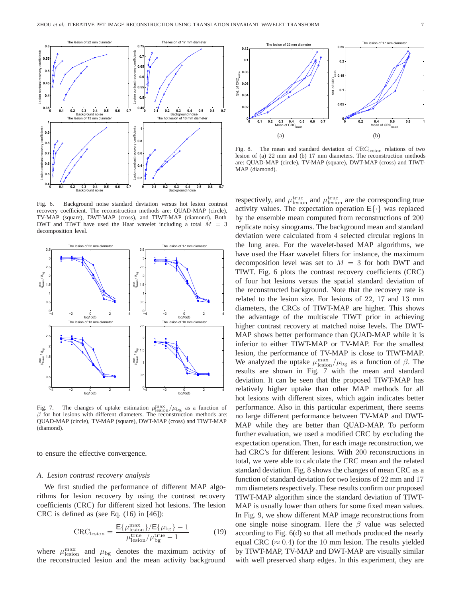

Fig. 6. Background noise standard deviation versus hot lesion contrast recovery coefficient. The reconstruction methods are: QUAD-MAP (circle), TV-MAP (square), DWT-MAP (cross), and TIWT-MAP (diamond). Both DWT and TIWT have used the Haar wavelet including a total  $M = 3$ decomposition level.



Fig. 7. The changes of uptake estimation  $\mu_{\text{mean}}^{\text{max}}/\mu_{\text{bg}}$  as a function of  $\beta$  for hot lesions with different diameters. The reconstruction methods are  $\beta$  for hot lesions with different diameters. The reconstruction methods are: QUAD-MAP (circle), TV-MAP (square), DWT-MAP (cross) and TIWT-MAP (diamond).

to ensure the effective convergence.

#### *A. Lesion contrast recovery analysis*

We first studied the performance of different MAP algorithms for lesion recovery by using the contrast recovery coefficients (CRC) for different sized hot lesions. The lesion CRC is defined as (see Eq. (16) in [46]):

$$
CRClesion = \frac{E{\mulesionmax}/{E{\mubg} - 1}}{\mulesiontrue/\mubgtrue - 1}
$$
 (19)

where  $\mu_{\text{lesion}}^{\text{max}}$  and  $\mu_{\text{bg}}$  denotes the maximum activity of the reconstructed lesion and the mean activity background



Fig. 8. The mean and standard deviation of CRClesion relations of two lesion of (a) 22 mm and (b) 17 mm diameters. The reconstruction methods are: QUAD-MAP (circle), TV-MAP (square), DWT-MAP (cross) and TIWT-MAP (diamond).

respectively, and  $\mu_{\text{lesion}}^{\text{true}}$  and  $\mu_{\text{lesion}}^{\text{true}}$  are the corresponding true activity values. The expectation operation  $E\{\cdot\}$  was replaced by the ensemble mean computed from reconstructions of 200 replicate noisy sinograms. The background mean and standard deviation were calculated from 4 selected circular regions in the lung area. For the wavelet-based MAP algorithms, we have used the Haar wavelet filters for instance, the maximum decomposition level was set to  $M = 3$  for both DWT and TIWT. Fig. 6 plots the contrast recovery coefficients (CRC) of four hot lesions versus the spatial standard deviation of the reconstructed background. Note that the recovery rate is related to the lesion size. For lesions of 22, 17 and 13 mm diameters, the CRCs of TIWT-MAP are higher. This shows the advantage of the multiscale TIWT prior in achieving higher contrast recovery at matched noise levels. The DWT-MAP shows better performance than QUAD-MAP while it is inferior to either TIWT-MAP or TV-MAP. For the smallest lesion, the performance of TV-MAP is close to TIWT-MAP. We analyzed the uptake  $\mu_{\text{leson}}^{\text{max}}/\mu_{\text{bg}}$  as a function of  $\beta$ . The results are shown in Fig. 7 with the mean and standard results are shown in Fig. 7 with the mean and standard deviation. It can be seen that the proposed TIWT-MAP has relatively higher uptake than other MAP methods for all hot lesions with different sizes, which again indicates better performance. Also in this particular experiment, there seems no large different performance between TV-MAP and DWT-MAP while they are better than QUAD-MAP. To perform further evaluation, we used a modified CRC by excluding the expectation operation. Then, for each image reconstruction, we had CRC's for different lesions. With 200 reconstructions in total, we were able to calculate the CRC mean and the related standard deviation. Fig. 8 shows the changes of mean CRC as a function of standard deviation for two lesions of 22 mm and 17 mm diameters respectively. These results confirm our proposed TIWT-MAP algorithm since the standard deviation of TIWT-MAP is usually lower than others for some fixed mean values. In Fig. 9, we show different MAP image reconstructions from one single noise sinogram. Here the  $\beta$  value was selected according to Fig. 6(d) so that all methods produced the nearly equal CRC ( $\approx$  0.4) for the 10 mm lesion. The results yielded by TIWT-MAP, TV-MAP and DWT-MAP are visually similar with well preserved sharp edges. In this experiment, they are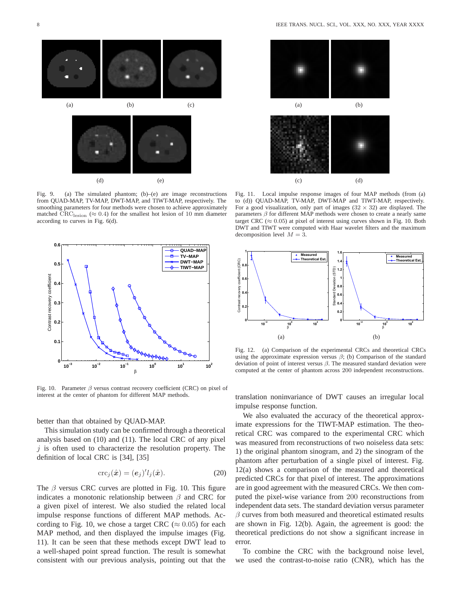

Fig. 9. (a) The simulated phantom; (b)–(e) are image reconstructions from QUAD-MAP, TV-MAP, DWT-MAP, and TIWT-MAP, respectively. The smoothing parameters for four methods were chosen to achieve approximately matched  $\mathrm{CRC}_{\mathrm{lesion}} \approx 0.4$ ) for the smallest hot lesion of 10 mm diameter according to curves in Fig. 6(d).



Fig. 10. Parameter  $\beta$  versus contrast recovery coefficient (CRC) on pixel of interest at the center of phantom for different MAP methods.

better than that obtained by QUAD-MAP.

This simulation study can be confirmed through a theoretical analysis based on (10) and (11). The local CRC of any pixel  $j$  is often used to characterize the resolution property. The definition of local CRC is [34], [35]

$$
\operatorname{crc}_j(\hat{\boldsymbol{x}}) = (\boldsymbol{e}_j)' l_j(\hat{\boldsymbol{x}}). \tag{20}
$$

The  $\beta$  versus CRC curves are plotted in Fig. 10. This figure indicates a monotonic relationship between  $\beta$  and CRC for a given pixel of interest. We also studied the related local impulse response functions of different MAP methods. According to Fig. 10, we chose a target CRC ( $\approx 0.05$ ) for each MAP method, and then displayed the impulse images (Fig. 11). It can be seen that these methods except DWT lead to a well-shaped point spread function. The result is somewhat consistent with our previous analysis, pointing out that the



Fig. 11. Local impulse response images of four MAP methods (from (a) to (d)) QUAD-MAP, TV-MAP, DWT-MAP and TIWT-MAP, respectively. For a good visualization, only part of images  $(32 \times 32)$  are displayed. The parameters  $\beta$  for different MAP methods were chosen to create a nearly same target CRC ( $\approx 0.05$ ) at pixel of interest using curves shown in Fig. 10. Both DWT and TIWT were computed with Haar wavelet filters and the maximum decomposition level  $M = 3$ .



Fig. 12. (a) Comparison of the experimental CRCs and theoretical CRCs using the approximate expression versus  $\beta$ ; (b) Comparison of the standard deviation of point of interest versus  $\beta$ . The measured standard deviation were computed at the center of phantom across 200 independent reconstructions.

translation noninvariance of DWT causes an irregular local impulse response function.

We also evaluated the accuracy of the theoretical approximate expressions for the TIWT-MAP estimation. The theoretical CRC was compared to the experimental CRC which was measured from reconstructions of two noiseless data sets: 1) the original phantom sinogram, and 2) the sinogram of the phantom after perturbation of a single pixel of interest. Fig. 12(a) shows a comparison of the measured and theoretical predicted CRCs for that pixel of interest. The approximations are in good agreement with the measured CRCs. We then computed the pixel-wise variance from 200 reconstructions from independent data sets. The standard deviation versus parameter  $\beta$  curves from both measured and theoretical estimated results are shown in Fig. 12(b). Again, the agreement is good: the theoretical predictions do not show a significant increase in error.

To combine the CRC with the background noise level, we used the contrast-to-noise ratio (CNR), which has the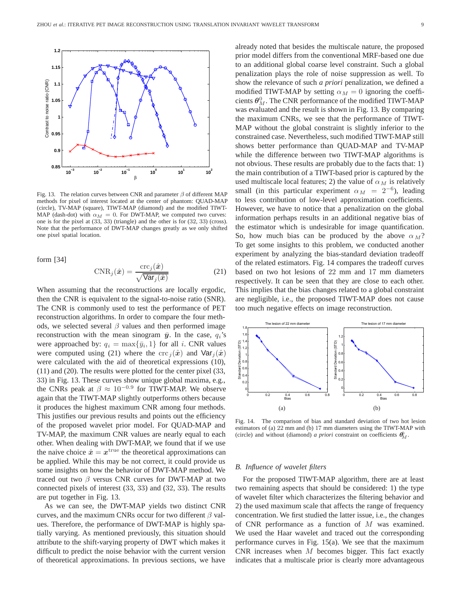

Fig. 13. The relation curves between CNR and parameter  $\beta$  of different MAP methods for pixel of interest located at the center of phantom: QUAD-MAP (circle), TV-MAP (square), TIWT-MAP (diamond) and the modified TIWT-MAP (dash-dot) with  $\alpha_M = 0$ . For DWT-MAP, we computed two curves: one is for the pixel at (33, 33) (triangle) and the other is for (32, 33) (cross). Note that the performance of DWT-MAP changes greatly as we only shifted one pixel spatial location.

form [34]

$$
CNR_j(\hat{\boldsymbol{x}}) = \frac{\text{crc}_j(\hat{\boldsymbol{x}})}{\sqrt{\text{Var}_j(\hat{\boldsymbol{x}})}}
$$
(21)

When assuming that the reconstructions are locally ergodic, then the CNR is equivalent to the signal-to-noise ratio (SNR). The CNR is commonly used to test the performance of PET reconstruction algorithms. In order to compare the four methods, we selected several  $\beta$  values and then performed image reconstruction with the mean sinogram  $\bar{y}$ . In the case,  $q_i$ 's were approached by:  $q_i = \max\{\bar{y}_i, 1\}$  for all i. CNR values were computed using (21) where the crc  $\hat{i}(\hat{x})$  and  $\text{Var}_{i}(\hat{x})$ were calculated with the aid of theoretical expressions (10), (11) and (20). The results were plotted for the center pixel (33, 33) in Fig. 13. These curves show unique global maxima, e.g., the CNRs peak at  $\beta \approx 10^{-0.9}$  for TIWT-MAP. We observe again that the TIWT-MAP slightly outperforms others because it produces the highest maximum CNR among four methods. This justifies our previous results and points out the efficiency of the proposed wavelet prior model. For QUAD-MAP and TV-MAP, the maximum CNR values are nearly equal to each other. When dealing with DWT-MAP, we found that if we use the naive choice  $\hat{x} = x^{\text{true}}$  the theoretical approximations can be applied. While this may be not correct, it could provide us some insights on how the behavior of DWT-MAP method. We traced out two  $\beta$  versus CNR curves for DWT-MAP at two connected pixels of interest (33, 33) and (32, 33). The results are put together in Fig. 13.

As we can see, the DWT-MAP yields two distinct CNR curves, and the maximum CNRs occur for two different  $\beta$  values. Therefore, the performance of DWT-MAP is highly spatially varying. As mentioned previously, this situation should attribute to the shift-varying property of DWT which makes it difficult to predict the noise behavior with the current version of theoretical approximations. In previous sections, we have

already noted that besides the multiscale nature, the proposed prior model differs from the conventional MRF-based one due to an additional global coarse level constraint. Such a global penalization plays the role of noise suppression as well. To show the relevance of such *a priori* penalization, we defined a modified TIWT-MAP by setting  $\alpha_M = 0$  ignoring the coefficients  $\boldsymbol{\theta}_{M}^{0}$ . The CNR performance of the modified TIWT-MAP was evaluated and the result is shown in Fig. 13. By comparing the maximum CNRs, we see that the performance of TIWT-MAP without the global constraint is slightly inferior to the constrained case. Nevertheless, such modified TIWT-MAP still shows better performance than QUAD-MAP and TV-MAP while the difference between two TIWT-MAP algorithms is not obvious. These results are probably due to the facts that: 1) the main contribution of a TIWT-based prior is captured by the used multiscale local features; 2) the value of  $\alpha_M$  is relatively small (in this particular experiment  $\alpha_M = 2^{-6}$ ), leading to less contribution of low-level approximation coefficients. However, we have to notice that a penalization on the global information perhaps results in an additional negative bias of the estimator which is undesirable for image quantification. So, how much bias can be produced by the above  $\alpha_M$ ? To get some insights to this problem, we conducted another experiment by analyzing the bias-standard deviation tradeoff of the related estimators. Fig. 14 compares the tradeoff curves based on two hot lesions of 22 mm and 17 mm diameters respectively. It can be seen that they are close to each other. This implies that the bias changes related to a global constraint are negligible, i.e., the proposed TIWT-MAP does not cause too much negative effects on image reconstruction.



Fig. 14. The comparison of bias and standard deviation of two hot lesion estimators of (a) 22 mm and (b) 17 mm diameters using the TIWT-MAP with (circle) and without (diamond) *a priori* constraint on coefficients  $\theta_M^0$ .

#### *B. Influence of wavelet filters*

For the proposed TIWT-MAP algorithm, there are at least two remaining aspects that should be considered: 1) the type of wavelet filter which characterizes the filtering behavior and 2) the used maximum scale that affects the range of frequency concentration. We first studied the latter issue, i.e., the changes of CNR performance as a function of M was examined. We used the Haar wavelet and traced out the corresponding performance curves in Fig. 15(a). We see that the maximum CNR increases when  $M$  becomes bigger. This fact exactly indicates that a multiscale prior is clearly more advantageous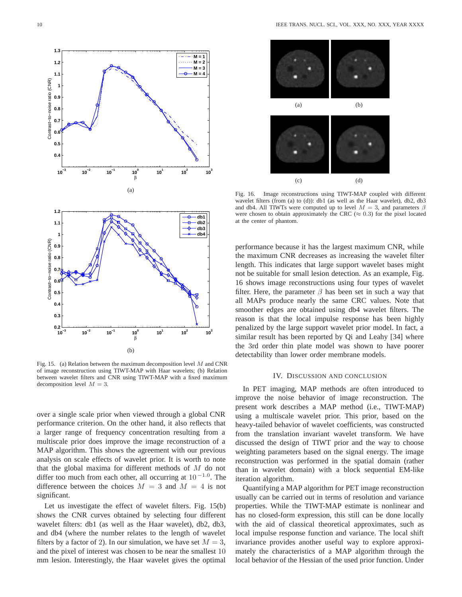

Fig. 15. (a) Relation between the maximum decomposition level  $M$  and CNR of image reconstruction using TIWT-MAP with Haar wavelets; (b) Relation between wavelet filters and CNR using TIWT-MAP with a fixed maximum decomposition level  $M = 3$ .

over a single scale prior when viewed through a global CNR performance criterion. On the other hand, it also reflects that a larger range of frequency concentration resulting from a multiscale prior does improve the image reconstruction of a MAP algorithm. This shows the agreement with our previous analysis on scale effects of wavelet prior. It is worth to note that the global maxima for different methods of  $M$  do not differ too much from each other, all occurring at  $10^{-1.0}$ . The difference between the choices  $M = 3$  and  $M = 4$  is not significant.

Let us investigate the effect of wavelet filters. Fig. 15(b) shows the CNR curves obtained by selecting four different wavelet filters: db1 (as well as the Haar wavelet), db2, db3, and db4 (where the number relates to the length of wavelet filters by a factor of 2). In our simulation, we have set  $M = 3$ , and the pixel of interest was chosen to be near the smallest 10 mm lesion. Interestingly, the Haar wavelet gives the optimal



Fig. 16. Image reconstructions using TIWT-MAP coupled with different wavelet filters (from (a) to (d)): db1 (as well as the Haar wavelet), db2, db3 and db4. All TIWTs were computed up to level  $M = 3$ , and parameters  $\beta$ were chosen to obtain approximately the CRC ( $\approx$  0.3) for the pixel located at the center of phantom.

performance because it has the largest maximum CNR, while the maximum CNR decreases as increasing the wavelet filter length. This indicates that large support wavelet bases might not be suitable for small lesion detection. As an example, Fig. 16 shows image reconstructions using four types of wavelet filter. Here, the parameter  $\beta$  has been set in such a way that all MAPs produce nearly the same CRC values. Note that smoother edges are obtained using db4 wavelet filters. The reason is that the local impulse response has been highly penalized by the large support wavelet prior model. In fact, a similar result has been reported by Qi and Leahy [34] where the 3rd order thin plate model was shown to have poorer detectability than lower order membrane models.

#### IV. DISCUSSION AND CONCLUSION

In PET imaging, MAP methods are often introduced to improve the noise behavior of image reconstruction. The present work describes a MAP method (i.e., TIWT-MAP) using a multiscale wavelet prior. This prior, based on the heavy-tailed behavior of wavelet coefficients, was constructed from the translation invariant wavelet transform. We have discussed the design of TIWT prior and the way to choose weighting parameters based on the signal energy. The image reconstruction was performed in the spatial domain (rather than in wavelet domain) with a block sequential EM-like iteration algorithm.

Quantifying a MAP algorithm for PET image reconstruction usually can be carried out in terms of resolution and variance properties. While the TIWT-MAP estimate is nonlinear and has no closed-form expression, this still can be done locally with the aid of classical theoretical approximates, such as local impulse response function and variance. The local shift invariance provides another useful way to explore approximately the characteristics of a MAP algorithm through the local behavior of the Hessian of the used prior function. Under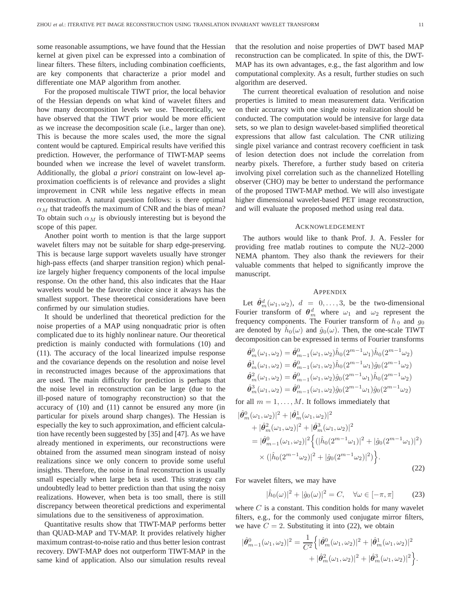some reasonable assumptions, we have found that the Hessian kernel at given pixel can be expressed into a combination of linear filters. These filters, including combination coefficients, are key components that characterize a prior model and differentiate one MAP algorithm from another.

For the proposed multiscale TIWT prior, the local behavior of the Hessian depends on what kind of wavelet filters and how many decomposition levels we use. Theoretically, we have observed that the TIWT prior would be more efficient as we increase the decomposition scale (i.e., larger than one). This is because the more scales used, the more the signal content would be captured. Empirical results have verified this prediction. However, the performance of TIWT-MAP seems bounded when we increase the level of wavelet transform. Additionally, the global *a priori* constraint on low-level approximation coefficients is of relevance and provides a slight improvement in CNR while less negative effects in mean reconstruction. A natural question follows: is there optimal  $\alpha_M$  that tradeoffs the maximum of CNR and the bias of mean? To obtain such  $\alpha_M$  is obviously interesting but is beyond the scope of this paper.

Another point worth to mention is that the large support wavelet filters may not be suitable for sharp edge-preserving. This is because large support wavelets usually have stronger high-pass effects (and sharper transition region) which penalize largely higher frequency components of the local impulse response. On the other hand, this also indicates that the Haar wavelets would be the favorite choice since it always has the smallest support. These theoretical considerations have been confirmed by our simulation studies.

It should be underlined that theoretical prediction for the noise properties of a MAP using nonquadratic prior is often complicated due to its highly nonlinear nature. Our theoretical prediction is mainly conducted with formulations (10) and (11). The accuracy of the local linearized impulse response and the covariance depends on the resolution and noise level in reconstructed images because of the approximations that are used. The main difficulty for prediction is perhaps that the noise level in reconstruction can be large (due to the ill-posed nature of tomography reconstruction) so that the accuracy of (10) and (11) cannot be ensured any more (in particular for pixels around sharp changes). The Hessian is especially the key to such approximation, and efficient calculation have recently been suggested by [35] and [47]. As we have already mentioned in experiments, our reconstructions were obtained from the assumed mean sinogram instead of noisy realizations since we only concern to provide some useful insights. Therefore, the noise in final reconstruction is usually small especially when large beta is used. This strategy can undoubtedly lead to better prediction than that using the noisy realizations. However, when beta is too small, there is still discrepancy between theoretical predictions and experimental simulations due to the sensitiveness of approximation.

Quantitative results show that TIWT-MAP performs better than QUAD-MAP and TV-MAP. It provides relatively higher maximum contrast-to-noise ratio and thus better lesion contrast recovery. DWT-MAP does not outperform TIWT-MAP in the same kind of application. Also our simulation results reveal that the resolution and noise properties of DWT based MAP reconstruction can be complicated. In spite of this, the DWT-MAP has its own advantages, e.g., the fast algorithm and low computational complexity. As a result, further studies on such algorithm are deserved.

The current theoretical evaluation of resolution and noise properties is limited to mean measurement data. Verification on their accuracy with one single noisy realization should be conducted. The computation would be intensive for large data sets, so we plan to design wavelet-based simplified theoretical expressions that allow fast calculation. The CNR utilizing single pixel variance and contrast recovery coefficient in task of lesion detection does not include the correlation from nearby pixels. Therefore, a further study based on criteria involving pixel correlation such as the channelized Hotelling observer (CHO) may be better to understand the performance of the proposed TIWT-MAP method. We will also investigate higher dimensional wavelet-based PET image reconstruction, and will evaluate the proposed method using real data.

#### ACKNOWLEDGEMENT

The authors would like to thank Prof. J. A. Fessler for providing free matlab routines to compute the NU2–2000 NEMA phantom. They also thank the reviewers for their valuable comments that helped to significantly improve the manuscript.

#### APPENDIX

Let  $\hat{\theta}^d_{m}(\omega_1, \omega_2)$ ,  $d = 0, \ldots, 3$ , be the two-dimensional<br>with transform of  $\theta^d$ , where it and it represent the Fourier transform of  $\theta_m^d$  where  $\omega_1$  and  $\omega_2$  represent the frequency components. The Fourier transform of  $h_0$  and  $g_0$ are denoted by  $h_0(\omega)$  and  $\hat{g}_0(\omega)$ . Then, the one-scale TIWT decomposition can be expressed in terms of Fourier transforms

$$
\hat{\theta}_m^0(\omega_1, \omega_2) = \hat{\theta}_{m-1}^0(\omega_1, \omega_2) \hat{h}_0(2^{m-1}\omega_1) \hat{h}_0(2^{m-1}\omega_2) \n\hat{\theta}_m^1(\omega_1, \omega_2) = \hat{\theta}_{m-1}^0(\omega_1, \omega_2) \hat{h}_0(2^{m-1}\omega_1) \hat{g}_0(2^{m-1}\omega_2) \n\hat{\theta}_m^2(\omega_1, \omega_2) = \hat{\theta}_{m-1}^0(\omega_1, \omega_2) \hat{g}_0(2^{m-1}\omega_1) \hat{h}_0(2^{m-1}\omega_2) \n\hat{\theta}_m^3(\omega_1, \omega_2) = \hat{\theta}_{m-1}^0(\omega_1, \omega_2) \hat{g}_0(2^{m-1}\omega_1) \hat{g}_0(2^{m-1}\omega_2)
$$

for all  $m = 1, \ldots, M$ . It follows immediately that

$$
\begin{split}\n|\hat{\theta}_{m}^{0}(\omega_{1},\omega_{2})|^{2} + |\hat{\theta}_{m}^{1}(\omega_{1},\omega_{2})|^{2} \\
&+ |\hat{\theta}_{m}^{2}(\omega_{1},\omega_{2})|^{2} + |\hat{\theta}_{m}^{3}(\omega_{1},\omega_{2})|^{2} \\
&= |\hat{\theta}_{m-1}^{0}(\omega_{1},\omega_{2})|^{2} \Big\{ (|\hat{h}_{0}(2^{m-1}\omega_{1})|^{2} + |\hat{g}_{0}(2^{m-1}\omega_{1})|^{2}) \\
&\times (|\hat{h}_{0}(2^{m-1}\omega_{2})|^{2} + |\hat{g}_{0}(2^{m-1}\omega_{2})|^{2}) \Big\}.\n\end{split} \tag{22}
$$

For wavelet filters, we may have

$$
|\hat{h}_0(\omega)|^2 + |\hat{g}_0(\omega)|^2 = C, \quad \forall \omega \in [-\pi, \pi]
$$
 (23)

where  $C$  is a constant. This condition holds for many wavelet filters, e.g., for the commonly used conjugate mirror filters, we have  $C = 2$ . Substituting it into (22), we obtain

$$
|\hat{\theta}_{m-1}^{0}(\omega_{1}, \omega_{2})|^{2} = \frac{1}{C^{2}} \Big\{ |\hat{\theta}_{m}^{0}(\omega_{1}, \omega_{2})|^{2} + |\hat{\theta}_{m}^{1}(\omega_{1}, \omega_{2})|^{2} + |\hat{\theta}_{m}^{2}(\omega_{1}, \omega_{2})|^{2} + |\hat{\theta}_{m}^{3}(\omega_{1}, \omega_{2})|^{2} \Big\}.
$$